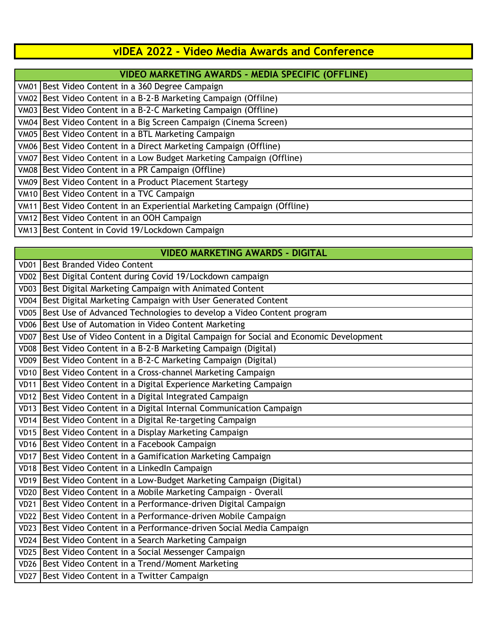## **vIDEA 2022 - Video Media Awards and Conference**

|             | <b>VIDEO MARKETING AWARDS - MEDIA SPECIFIC (OFFLINE)</b>           |
|-------------|--------------------------------------------------------------------|
| <b>VM01</b> | Best Video Content in a 360 Degree Campaign                        |
| <b>VM02</b> | Best Video Content in a B-2-B Marketing Campaign (Offilne)         |
| <b>VM03</b> | Best Video Content in a B-2-C Marketing Campaign (Offline)         |
|             | VM04 Best Video Content in a Big Screen Campaign (Cinema Screen)   |
| <b>VM05</b> | Best Video Content in a BTL Marketing Campaign                     |
|             | VM06 Best Video Content in a Direct Marketing Campaign (Offline)   |
| <b>VM07</b> | Best Video Content in a Low Budget Marketing Campaign (Offline)    |
| <b>VM08</b> | Best Video Content in a PR Campaign (Offline)                      |
|             | VM09 Best Video Content in a Product Placement Startegy            |
|             | VM10 Best Video Content in a TVC Campaign                          |
| <b>VM11</b> | Best Video Content in an Experiential Marketing Campaign (Offline) |
| <b>VM12</b> | Best Video Content in an OOH Campaign                              |
|             | VM13 Best Content in Covid 19/Lockdown Campaign                    |

#### **VIDEO MARKETING AWARDS - DIGITAL**

| VD01             | Best Branded Video Content                                                          |
|------------------|-------------------------------------------------------------------------------------|
| <b>VD02</b>      | Best Digital Content during Covid 19/Lockdown campaign                              |
| VD03             | Best Digital Marketing Campaign with Animated Content                               |
| VD <sub>04</sub> | Best Digital Marketing Campaign with User Generated Content                         |
| <b>VD05</b>      | Best Use of Advanced Technologies to develop a Video Content program                |
| <b>VD06</b>      | Best Use of Automation in Video Content Marketing                                   |
| VD07             | Best Use of Video Content in a Digital Campaign for Social and Economic Development |
| VD08             | Best Video Content in a B-2-B Marketing Campaign (Digital)                          |
|                  | VD09 Best Video Content in a B-2-C Marketing Campaign (Digital)                     |
| <b>VD10</b>      | Best Video Content in a Cross-channel Marketing Campaign                            |
| <b>VD11</b>      | Best Video Content in a Digital Experience Marketing Campaign                       |
| VD12             | Best Video Content in a Digital Integrated Campaign                                 |
|                  | VD13 Best Video Content in a Digital Internal Communication Campaign                |
|                  | VD14 Best Video Content in a Digital Re-targeting Campaign                          |
| VD15             | Best Video Content in a Display Marketing Campaign                                  |
| <b>VD16</b>      | Best Video Content in a Facebook Campaign                                           |
| <b>VD17</b>      | Best Video Content in a Gamification Marketing Campaign                             |
|                  | VD18 Best Video Content in a LinkedIn Campaign                                      |
|                  | VD19 Best Video Content in a Low-Budget Marketing Campaign (Digital)                |
| <b>VD20</b>      | Best Video Content in a Mobile Marketing Campaign - Overall                         |
| <b>VD21</b>      | Best Video Content in a Performance-driven Digital Campaign                         |
| <b>VD22</b>      | Best Video Content in a Performance-driven Mobile Campaign                          |
|                  | VD23 Best Video Content in a Performance-driven Social Media Campaign               |
|                  | VD24 Best Video Content in a Search Marketing Campaign                              |
| <b>VD25</b>      | Best Video Content in a Social Messenger Campaign                                   |
|                  | VD26 Best Video Content in a Trend/Moment Marketing                                 |
|                  | VD27 Best Video Content in a Twitter Campaign                                       |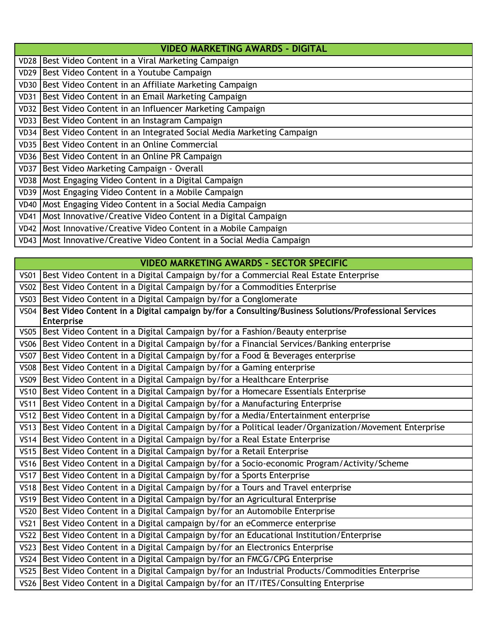|             | <b>VIDEO MARKETING AWARDS - DIGITAL</b>                                  |  |
|-------------|--------------------------------------------------------------------------|--|
|             | VD28   Best Video Content in a Viral Marketing Campaign                  |  |
|             | VD29 Best Video Content in a Youtube Campaign                            |  |
|             | VD30   Best Video Content in an Affiliate Marketing Campaign             |  |
|             | VD31 Best Video Content in an Email Marketing Campaign                   |  |
|             | VD32 Best Video Content in an Influencer Marketing Campaign              |  |
|             | VD33 Best Video Content in an Instagram Campaign                         |  |
|             | VD34 Best Video Content in an Integrated Social Media Marketing Campaign |  |
|             | VD35   Best Video Content in an Online Commercial                        |  |
|             | VD36   Best Video Content in an Online PR Campaign                       |  |
|             | VD37 Best Video Marketing Campaign - Overall                             |  |
|             | VD38   Most Engaging Video Content in a Digital Campaign                 |  |
|             | VD39   Most Engaging Video Content in a Mobile Campaign                  |  |
| <b>VD40</b> | Most Engaging Video Content in a Social Media Campaign                   |  |
|             | VD41   Most Innovative/Creative Video Content in a Digital Campaign      |  |
|             | VD42   Most Innovative/Creative Video Content in a Mobile Campaign       |  |
|             | VD43   Most Innovative/Creative Video Content in a Social Media Campaign |  |

# **VIDEO MARKETING AWARDS - SECTOR SPECIFIC**

| VS01        | Best Video Content in a Digital Campaign by/for a Commercial Real Estate Enterprise                        |
|-------------|------------------------------------------------------------------------------------------------------------|
| <b>VS02</b> | Best Video Content in a Digital Campaign by/for a Commodities Enterprise                                   |
| VS03        | Best Video Content in a Digital Campaign by/for a Conglomerate                                             |
| <b>VS04</b> | Best Video Content in a Digital campaign by/for a Consulting/Business Solutions/Professional Services      |
|             | Enterprise                                                                                                 |
|             | VS05   Best Video Content in a Digital Campaign by/for a Fashion/Beauty enterprise                         |
|             | VS06 Best Video Content in a Digital Campaign by/for a Financial Services/Banking enterprise               |
|             | VS07 Best Video Content in a Digital Campaign by/for a Food & Beverages enterprise                         |
|             | VS08   Best Video Content in a Digital Campaign by/for a Gaming enterprise                                 |
|             | VS09   Best Video Content in a Digital Campaign by/for a Healthcare Enterprise                             |
|             | VS10   Best Video Content in a Digital Campaign by/for a Homecare Essentials Enterprise                    |
|             | VS11   Best Video Content in a Digital Campaign by/for a Manufacturing Enterprise                          |
| VS12        | Best Video Content in a Digital Campaign by/for a Media/Entertainment enterprise                           |
|             | VS13   Best Video Content in a Digital Campaign by/for a Political leader/Organization/Movement Enterprise |
|             | VS14 Best Video Content in a Digital Campaign by/for a Real Estate Enterprise                              |
| VS15        | Best Video Content in a Digital Campaign by/for a Retail Enterprise                                        |
|             | VS16   Best Video Content in a Digital Campaign by/for a Socio-economic Program/Activity/Scheme            |
| <b>VS17</b> | Best Video Content in a Digital Campaign by/for a Sports Enterprise                                        |
|             | VS18 Best Video Content in a Digital Campaign by/for a Tours and Travel enterprise                         |
|             | VS19 Best Video Content in a Digital Campaign by/for an Agricultural Enterprise                            |
| VS20        | Best Video Content in a Digital Campaign by/for an Automobile Enterprise                                   |
| VS21        | Best Video Content in a Digital campaign by/for an eCommerce enterprise                                    |
|             | VS22 Best Video Content in a Digital Campaign by/for an Educational Institution/Enterprise                 |
|             | VS23   Best Video Content in a Digital Campaign by/for an Electronics Enterprise                           |
|             | VS24 Best Video Content in a Digital Campaign by/for an FMCG/CPG Enterprise                                |
|             | VS25   Best Video Content in a Digital Campaign by/for an Industrial Products/Commodities Enterprise       |
|             | VS26   Best Video Content in a Digital Campaign by/for an IT/ITES/Consulting Enterprise                    |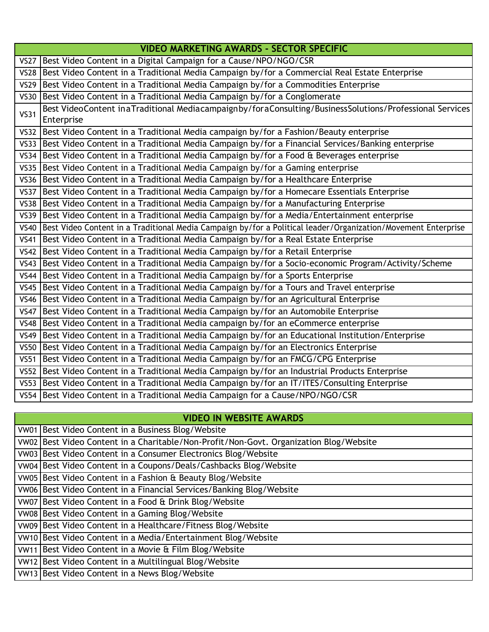|             | <b>VIDEO MARKETING AWARDS - SECTOR SPECIFIC</b>                                                                       |
|-------------|-----------------------------------------------------------------------------------------------------------------------|
|             | VS27   Best Video Content in a Digital Campaign for a Cause/NPO/NGO/CSR                                               |
|             | VS28 Best Video Content in a Traditional Media Campaign by/for a Commercial Real Estate Enterprise                    |
|             | VS29 Best Video Content in a Traditional Media Campaign by/for a Commodities Enterprise                               |
|             | VS30 Best Video Content in a Traditional Media Campaign by/for a Conglomerate                                         |
| <b>VS31</b> | Best VideoContent inaTraditional Mediacampaignby/foraConsulting/BusinessSolutions/Professional Services<br>Enterprise |
|             | VS32 Best Video Content in a Traditional Media campaign by/for a Fashion/Beauty enterprise                            |
|             | VS33   Best Video Content in a Traditional Media Campaign by/for a Financial Services/Banking enterprise              |
|             | VS34 Best Video Content in a Traditional Media Campaign by/for a Food & Beverages enterprise                          |
|             | VS35   Best Video Content in a Traditional Media Campaign by/for a Gaming enterprise                                  |
|             | VS36 Best Video Content in a Traditional Media Campaign by/for a Healthcare Enterprise                                |
|             | VS37 Best Video Content in a Traditional Media Campaign by/for a Homecare Essentials Enterprise                       |
|             | VS38   Best Video Content in a Traditional Media Campaign by/for a Manufacturing Enterprise                           |
|             | VS39 Best Video Content in a Traditional Media Campaign by/for a Media/Entertainment enterprise                       |
|             | VS40   Best Video Content in a Traditional Media Campaign by/for a Political leader/Organization/Movement Enterprise  |
|             | VS41 Best Video Content in a Traditional Media Campaign by/for a Real Estate Enterprise                               |
|             | VS42 Best Video Content in a Traditional Media Campaign by/for a Retail Enterprise                                    |
|             | VS43   Best Video Content in a Traditional Media Campaign by/for a Socio-economic Program/Activity/Scheme             |
|             | VS44   Best Video Content in a Traditional Media Campaign by/for a Sports Enterprise                                  |
|             | VS45   Best Video Content in a Traditional Media Campaign by/for a Tours and Travel enterprise                        |
|             | VS46 Best Video Content in a Traditional Media Campaign by/for an Agricultural Enterprise                             |
|             | VS47   Best Video Content in a Traditional Media Campaign by/for an Automobile Enterprise                             |
| <b>VS48</b> | Best Video Content in a Traditional Media campaign by/for an eCommerce enterprise                                     |
|             | VS49   Best Video Content in a Traditional Media Campaign by/for an Educational Institution/Enterprise                |
|             | VS50   Best Video Content in a Traditional Media Campaign by/for an Electronics Enterprise                            |
|             | VS51   Best Video Content in a Traditional Media Campaign by/for an FMCG/CPG Enterprise                               |
|             | VS52   Best Video Content in a Traditional Media Campaign by/for an Industrial Products Enterprise                    |
|             | VS53   Best Video Content in a Traditional Media Campaign by/for an IT/ITES/Consulting Enterprise                     |
|             | VS54   Best Video Content in a Traditional Media Campaign for a Cause/NPO/NGO/CSR                                     |

### **VIDEO IN WEBSITE AWARDS**

| VW01 Best Video Content in a Business Blog/Website                                     |
|----------------------------------------------------------------------------------------|
| VW02 Best Video Content in a Charitable/Non-Profit/Non-Govt. Organization Blog/Website |
| VW03 Best Video Content in a Consumer Electronics Blog/Website                         |
| VW04 Best Video Content in a Coupons/Deals/Cashbacks Blog/Website                      |
| VW05 Best Video Content in a Fashion & Beauty Blog/Website                             |
| VW06 Best Video Content in a Financial Services/Banking Blog/Website                   |
| VW07 Best Video Content in a Food & Drink Blog/Website                                 |
| VW08 Best Video Content in a Gaming Blog/Website                                       |
| VW09 Best Video Content in a Healthcare/Fitness Blog/Website                           |
| VW10 Best Video Content in a Media/Entertainment Blog/Website                          |
| VW11 Best Video Content in a Movie & Film Blog/Website                                 |
| VW12 Best Video Content in a Multilingual Blog/Website                                 |
| VW13 Best Video Content in a News Blog/Website                                         |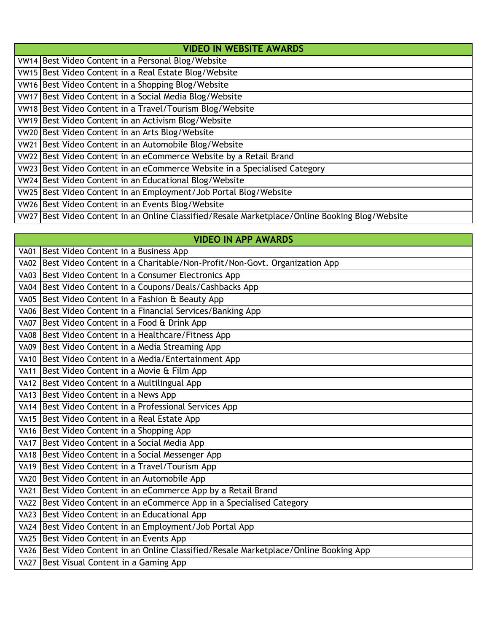| <b>VIDEO IN WEBSITE AWARDS</b>                                                                 |  |
|------------------------------------------------------------------------------------------------|--|
| VW14 Best Video Content in a Personal Blog/Website                                             |  |
| VW15 Best Video Content in a Real Estate Blog/Website                                          |  |
| VW16 Best Video Content in a Shopping Blog/Website                                             |  |
| VW17 Best Video Content in a Social Media Blog/Website                                         |  |
| VW18 Best Video Content in a Travel/Tourism Blog/Website                                       |  |
| VW19 Best Video Content in an Activism Blog/Website                                            |  |
| VW20 Best Video Content in an Arts Blog/Website                                                |  |
| VW21 Best Video Content in an Automobile Blog/Website                                          |  |
| VW22 Best Video Content in an eCommerce Website by a Retail Brand                              |  |
| VW23 Best Video Content in an eCommerce Website in a Specialised Category                      |  |
| VW24 Best Video Content in an Educational Blog/Website                                         |  |
| VW25 Best Video Content in an Employment/Job Portal Blog/Website                               |  |
| VW26 Best Video Content in an Events Blog/Website                                              |  |
| VW27 Best Video Content in an Online Classified/Resale Marketplace/Online Booking Blog/Website |  |

**VIDEO IN APP AWARDS**

| <b>VA01</b> | Best Video Content in a Business App                                     |
|-------------|--------------------------------------------------------------------------|
| <b>VA02</b> | Best Video Content in a Charitable/Non-Profit/Non-Govt. Organization App |
| <b>VA03</b> | Best Video Content in a Consumer Electronics App                         |
| <b>VA04</b> | Best Video Content in a Coupons/Deals/Cashbacks App                      |
| <b>VA05</b> | Best Video Content in a Fashion & Beauty App                             |
| <b>VA06</b> | Best Video Content in a Financial Services/Banking App                   |
| <b>VA07</b> | Best Video Content in a Food & Drink App                                 |
| <b>VA08</b> | Best Video Content in a Healthcare/Fitness App                           |
| <b>VA09</b> | Best Video Content in a Media Streaming App                              |
| <b>VA10</b> | Best Video Content in a Media/Entertainment App                          |
| <b>VA11</b> | Best Video Content in a Movie & Film App                                 |
| <b>VA12</b> | Best Video Content in a Multilingual App                                 |
| <b>VA13</b> | Best Video Content in a News App                                         |
| <b>VA14</b> | Best Video Content in a Professional Services App                        |
| <b>VA15</b> | Best Video Content in a Real Estate App                                  |
| <b>VA16</b> | Best Video Content in a Shopping App                                     |
| <b>VA17</b> | Best Video Content in a Social Media App                                 |
| <b>VA18</b> | Best Video Content in a Social Messenger App                             |
| <b>VA19</b> | Best Video Content in a Travel/Tourism App                               |
| <b>VA20</b> | Best Video Content in an Automobile App                                  |
| <b>VA21</b> | Best Video Content in an eCommerce App by a Retail Brand                 |
| <b>VA22</b> | Best Video Content in an eCommerce App in a Specialised Category         |
| <b>VA23</b> | Best Video Content in an Educational App                                 |
|             | VA24   Best Video Content in an Employment/Job Portal App                |

VA25 Best Video Content in an Events App

VA26 Best Video Content in an Online Classified/Resale Marketplace/Online Booking App

VA27 Best Visual Content in a Gaming App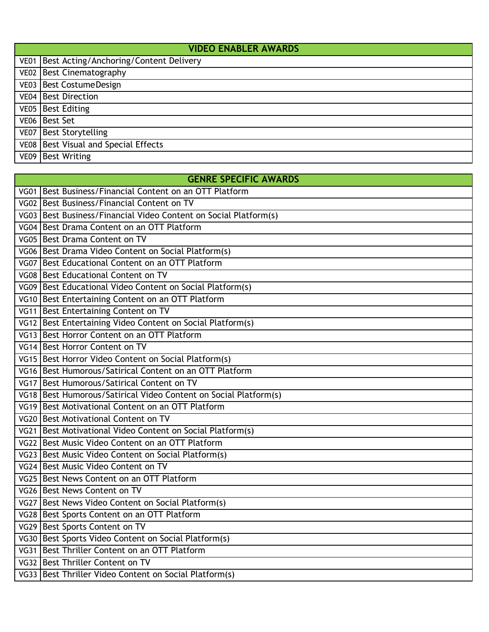|             | <b>VIDEO ENABLER AWARDS</b>                   |  |
|-------------|-----------------------------------------------|--|
|             | VE01   Best Acting/Anchoring/Content Delivery |  |
|             | VE02   Best Cinematography                    |  |
|             | VE03   Best Costume Design                    |  |
|             | VE04 Best Direction                           |  |
|             | VE05 Best Editing                             |  |
|             | VE06 Best Set                                 |  |
|             | VE07 Best Storytelling                        |  |
|             | VE08 Best Visual and Special Effects          |  |
| <b>VE09</b> | <b>Best Writing</b>                           |  |

#### **GENRE SPECIFIC AWARDS**

| VG01   Best Business/Financial Content on an OTT Platform          |
|--------------------------------------------------------------------|
| VG02 Best Business/Financial Content on TV                         |
| VG03   Best Business/Financial Video Content on Social Platform(s) |
| VG04 Best Drama Content on an OTT Platform                         |
| VG05 Best Drama Content on TV                                      |
| VG06   Best Drama Video Content on Social Platform(s)              |
| VG07 Best Educational Content on an OTT Platform                   |
| VG08 Best Educational Content on TV                                |
| VG09 Best Educational Video Content on Social Platform(s)          |
| VG10 Best Entertaining Content on an OTT Platform                  |
| VG11 Best Entertaining Content on TV                               |
| VG12 Best Entertaining Video Content on Social Platform(s)         |
| VG13 Best Horror Content on an OTT Platform                        |
| VG14 Best Horror Content on TV                                     |
| VG15 Best Horror Video Content on Social Platform(s)               |
| VG16 Best Humorous/Satirical Content on an OTT Platform            |
| VG17 Best Humorous/Satirical Content on TV                         |
| VG18 Best Humorous/Satirical Video Content on Social Platform(s)   |
| VG19 Best Motivational Content on an OTT Platform                  |
| VG20   Best Motivational Content on TV                             |
| VG21 Best Motivational Video Content on Social Platform(s)         |
| VG22 Best Music Video Content on an OTT Platform                   |
| VG23 Best Music Video Content on Social Platform(s)                |
| VG24 Best Music Video Content on TV                                |
| VG25   Best News Content on an OTT Platform                        |
| VG26   Best News Content on TV                                     |
| VG27 Best News Video Content on Social Platform(s)                 |
| VG28   Best Sports Content on an OTT Platform                      |
| VG29 Best Sports Content on TV                                     |
| VG30 Best Sports Video Content on Social Platform(s)               |
| VG31 Best Thriller Content on an OTT Platform                      |
| VG32 Best Thriller Content on TV                                   |
| VG33   Best Thriller Video Content on Social Platform(s)           |